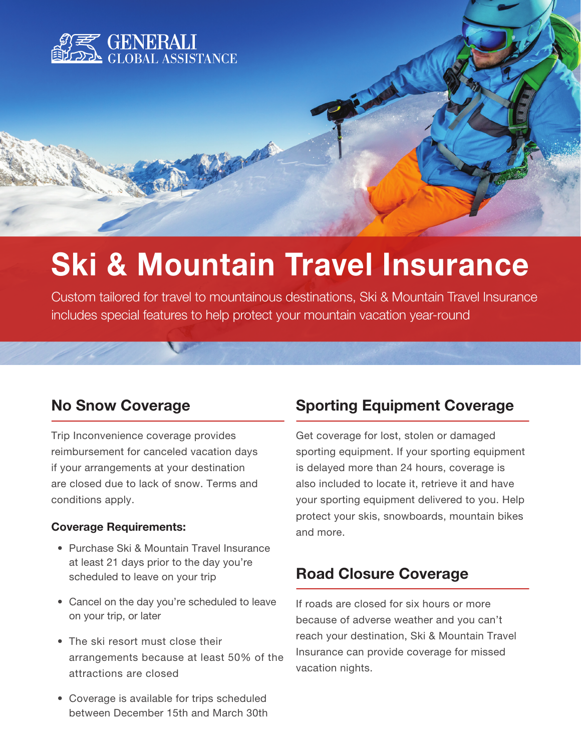

# Ski & Mountain Travel Insurance

Custom tailored for travel to mountainous destinations, Ski & Mountain Travel Insurance includes special features to help protect your mountain vacation year-round

## No Snow Coverage

Trip Inconvenience coverage provides reimbursement for canceled vacation days if your arrangements at your destination are closed due to lack of snow. Terms and conditions apply.

### Coverage Requirements:

- Purchase Ski & Mountain Travel Insurance at least 21 days prior to the day you're scheduled to leave on your trip
- Cancel on the day you're scheduled to leave on your trip, or later
- The ski resort must close their arrangements because at least 50% of the attractions are closed
- Coverage is available for trips scheduled between December 15th and March 30th

# Sporting Equipment Coverage

Get coverage for lost, stolen or damaged sporting equipment. If your sporting equipment is delayed more than 24 hours, coverage is also included to locate it, retrieve it and have your sporting equipment delivered to you. Help protect your skis, snowboards, mountain bikes and more.

## Road Closure Coverage

If roads are closed for six hours or more because of adverse weather and you can't reach your destination, Ski & Mountain Travel Insurance can provide coverage for missed vacation nights.